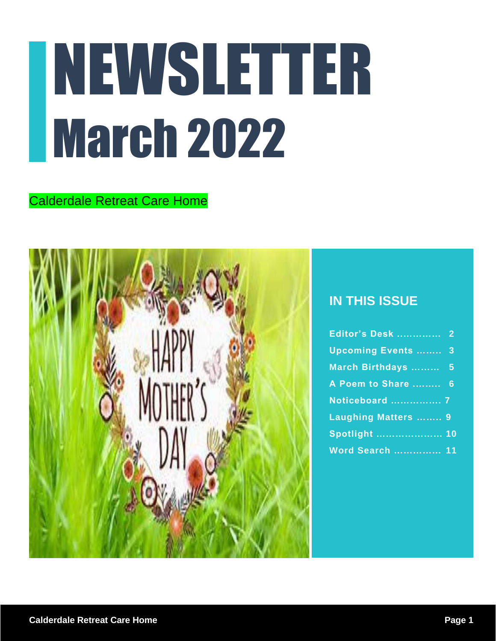# NEWSLETTER March 2022

#### Calderdale Retreat Care Home



#### **IN THIS ISSUE**

| Editor's Desk  2          |  |
|---------------------------|--|
| <b>Upcoming Events </b> 3 |  |
| March Birthdays  5        |  |
| A Poem to Share  6        |  |
| Noticeboard  7            |  |
| Laughing Matters  9       |  |
|                           |  |
| <b>Word Search  11</b>    |  |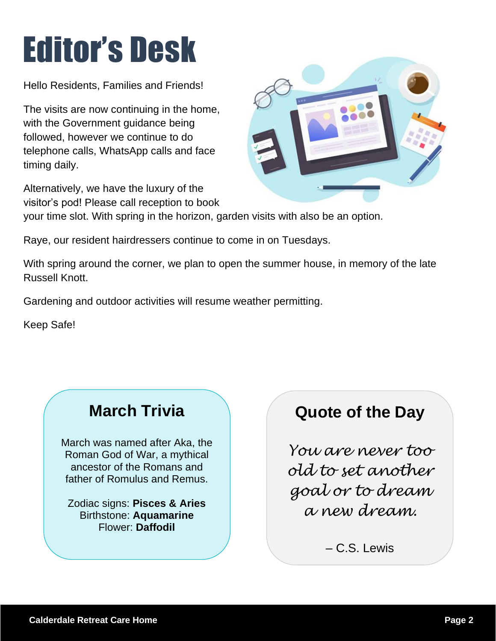# Editor's Desk

Hello Residents, Families and Friends!

The visits are now continuing in the home, with the Government guidance being followed, however we continue to do telephone calls, WhatsApp calls and face timing daily.

Alternatively, we have the luxury of the visitor's pod! Please call reception to book



Raye, our resident hairdressers continue to come in on Tuesdays.

With spring around the corner, we plan to open the summer house, in memory of the late Russell Knott.

Gardening and outdoor activities will resume weather permitting.

Keep Safe!

### **March Trivia**

March was named after Aka, the Roman God of War, a mythical ancestor of the Romans and father of Romulus and Remus.

Zodiac signs: **Pisces & Aries** Birthstone: **Aquamarine** Flower: **Daffodil**

### **Quote of the Day**

*You are never too old to set another goal or to dream a new dream.*

– C.S. Lewis

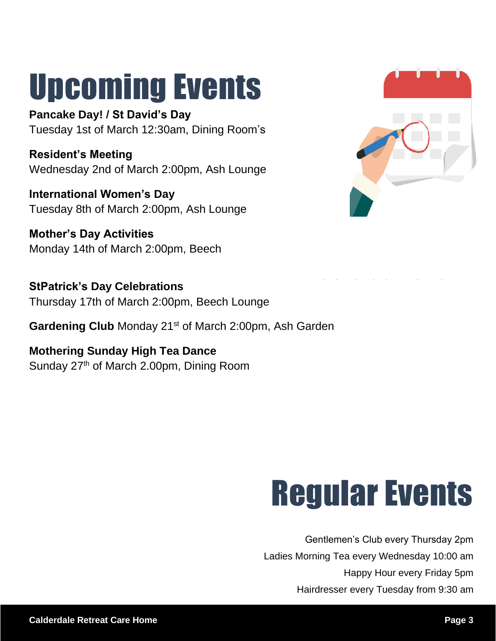## Upcoming Events

**Pancake Day! / St David's Day** Tuesday 1st of March 12:30am, Dining Room's

**Resident's Meeting** Wednesday 2nd of March 2:00pm, Ash Lounge

**International Women's Day** Tuesday 8th of March 2:00pm, Ash Lounge

**Mother's Day Activities** Monday 14th of March 2:00pm, Beech

**StPatrick's Day Celebrations** Thursday 17th of March 2:00pm, Beech Lounge

Gardening Club Monday 21<sup>st</sup> of March 2:00pm, Ash Garden have been enjoying spending time outdoors.

**Mothering Sunday High Tea Dance** Sunday 27<sup>th</sup> of March 2.00pm, Dining Room



## **Regular Events**

Gentlemen's Club every Thursday 2pm Ladies Morning Tea every Wednesday 10:00 am Happy Hour every Friday 5pm Hairdresser every Tuesday from 9:30 am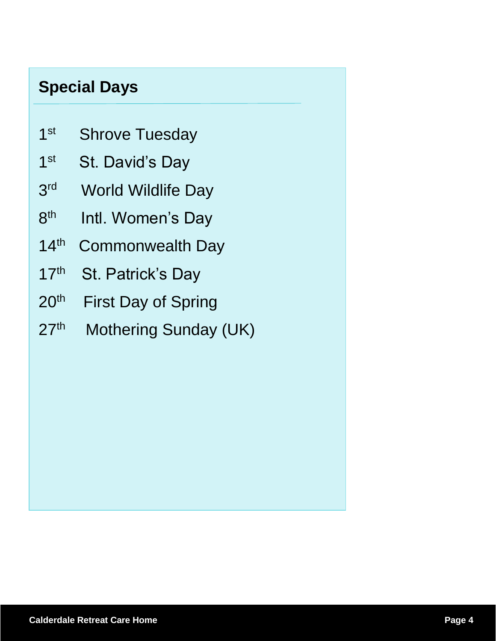### **Special Days**

- $1<sup>st</sup>$ Shrove Tuesday
- $1<sup>st</sup>$ St. David's Day
- 3 rd World Wildlife Day
- 8 th Intl. Women's Day
- $14<sup>th</sup>$ Commonwealth Day
- $17<sup>th</sup>$ St. Patrick's Day
- $20<sup>th</sup>$ First Day of Spring
- $27<sup>th</sup>$ Mothering Sunday (UK)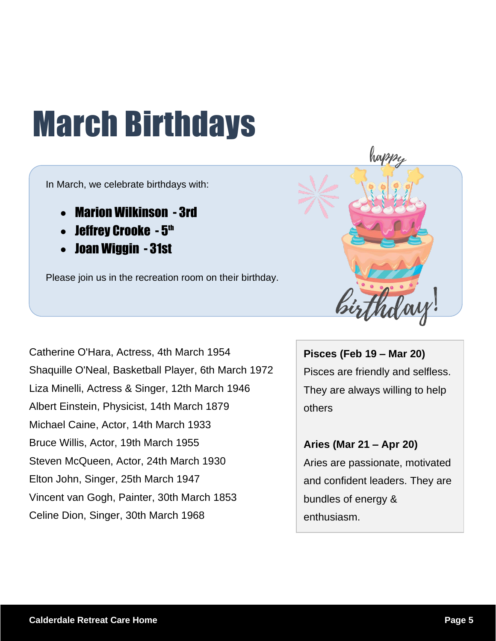# March Birthdays

In March, we celebrate birthdays with:

- Marion Wilkinson 3rd
- $\bullet$  Jeffrey Crooke  $5^{\text{th}}$
- Joan Wiggin 31st

Please join us in the recreation room on their birthday.



Catherine O'Hara, Actress, 4th March 1954 Shaquille O'Neal, Basketball Player, 6th March 1972 Liza Minelli, Actress & Singer, 12th March 1946 Albert Einstein, Physicist, 14th March 1879 Michael Caine, Actor, 14th March 1933 Bruce Willis, Actor, 19th March 1955 Steven McQueen, Actor, 24th March 1930 Elton John, Singer, 25th March 1947 Vincent van Gogh, Painter, 30th March 1853 Celine Dion, Singer, 30th March 1968

**Pisces (Feb 19 – Mar 20)** Pisces are friendly and selfless. They are always willing to help others

**Aries (Mar 21 – Apr 20)** Aries are passionate, motivated and confident leaders. They are bundles of energy & enthusiasm.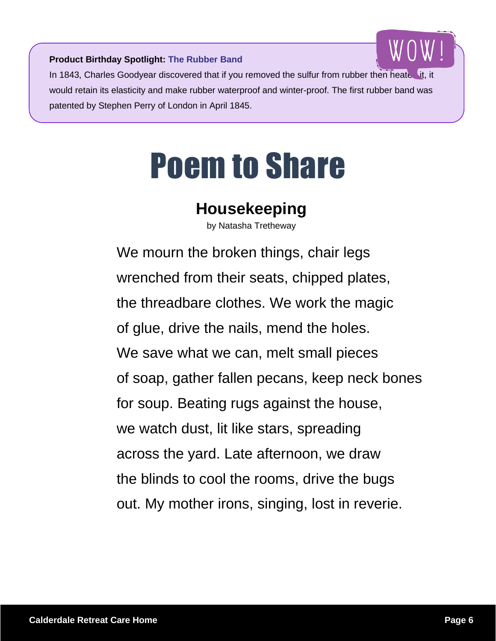

**Product Birthday Spotlight: The Rubber Band**

In 1843, Charles Goodyear discovered that if you removed the sulfur from rubber then heated would retain its elasticity and make rubber waterproof and winter-proof. The first rubber band was patented by Stephen Perry of London in April 1845.

### Poem to Share

### **Housekeeping**

by Natasha Tretheway

We mourn the broken things, chair legs wrenched from their seats, chipped plates, the threadbare clothes. We work the magic of glue, drive the nails, mend the holes. We save what we can, melt small pieces of soap, gather fallen pecans, keep neck bones for soup. Beating rugs against the house, we watch dust, lit like stars, spreading across the yard. Late afternoon, we draw the blinds to cool the rooms, drive the bugs out. My mother irons, singing, lost in reverie.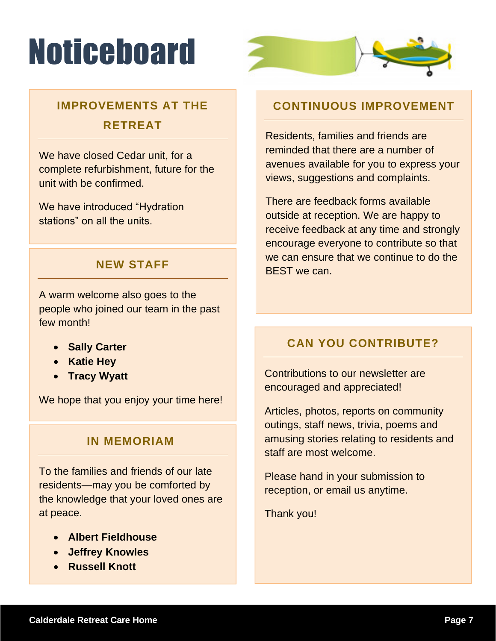# **Noticeboard**



### **IMPROVEMENTS AT THE RETREAT**

We have closed Cedar unit, for a complete refurbishment, future for the unit with be confirmed.

We have introduced "Hydration stations" on all the units.

#### **NEW STAFF**

A warm welcome also goes to the people who joined our team in the past few month!

- **Sally Carter**
- **Katie Hey**
- **Tracy Wyatt**

We hope that you enjoy your time here!

#### **IN MEMORIAM**

To the families and friends of our late residents—may you be comforted by the knowledge that your loved ones are at peace.

- **Albert Fieldhouse**
- **Jeffrey Knowles**
- **Russell Knott**

#### **CONTINUOUS IMPROVEMENT**

Residents, families and friends are reminded that there are a number of avenues available for you to express your views, suggestions and complaints.

There are feedback forms available outside at reception. We are happy to receive feedback at any time and strongly encourage everyone to contribute so that we can ensure that we continue to do the BEST we can.

#### **CAN YOU CONTRIBUTE?**

Contributions to our newsletter are encouraged and appreciated!

Articles, photos, reports on community outings, staff news, trivia, poems and amusing stories relating to residents and staff are most welcome.

Please hand in your submission to reception, or email us anytime.

Thank you!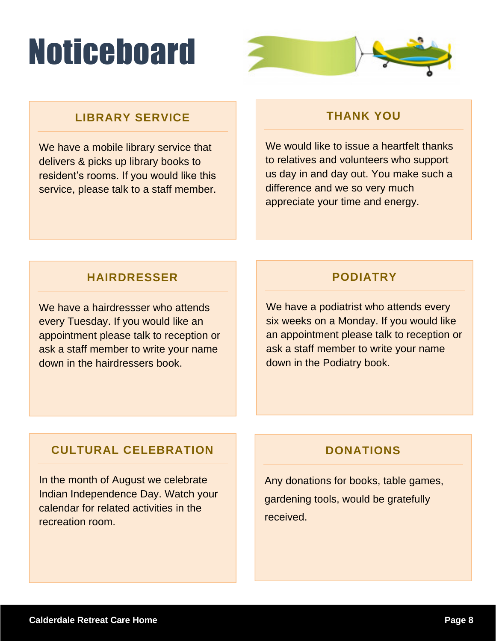# **Noticeboard**



#### **LIBRARY SERVICE**

We have a mobile library service that delivers & picks up library books to resident's rooms. If you would like this service, please talk to a staff member.

#### **THANK YOU**

We would like to issue a heartfelt thanks to relatives and volunteers who support us day in and day out. You make such a difference and we so very much appreciate your time and energy.

#### **HAIRDRESSER**

We have a hairdressser who attends every Tuesday. If you would like an appointment please talk to reception or ask a staff member to write your name down in the hairdressers book.

#### **PODIATRY**

We have a podiatrist who attends every six weeks on a Monday. If you would like an appointment please talk to reception or ask a staff member to write your name down in the Podiatry book.

#### **CULTURAL CELEBRATION**

In the month of August we celebrate Indian Independence Day. Watch your calendar for related activities in the recreation room.

#### **DONATIONS**

Any donations for books, table games, gardening tools, would be gratefully received.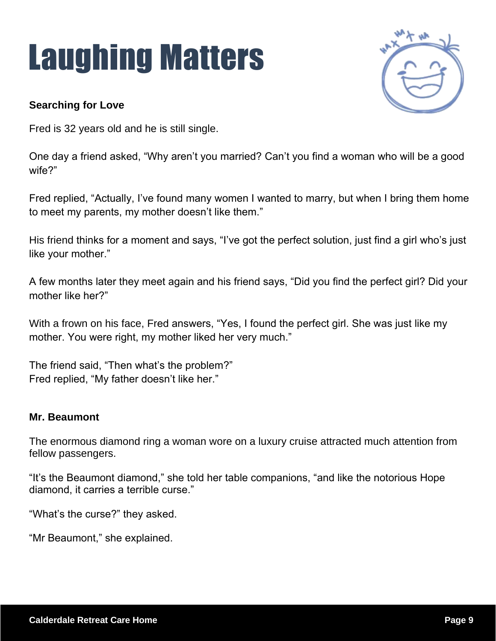# Laughing Matters



#### **Searching for Love**

Fred is 32 years old and he is still single.

One day a friend asked, "Why aren't you married? Can't you find a woman who will be a good wife?"

Fred replied, "Actually, I've found many women I wanted to marry, but when I bring them home to meet my parents, my mother doesn't like them."

His friend thinks for a moment and says, "I've got the perfect solution, just find a girl who's just like your mother."

A few months later they meet again and his friend says, "Did you find the perfect girl? Did your mother like her?"

With a frown on his face, Fred answers, "Yes, I found the perfect girl. She was just like my mother. You were right, my mother liked her very much."

The friend said, "Then what's the problem?" Fred replied, "My father doesn't like her."

#### **Mr. Beaumont**

The enormous diamond ring a woman wore on a luxury cruise attracted much attention from fellow passengers.

"It's the Beaumont diamond," she told her table companions, "and like the notorious Hope diamond, it carries a terrible curse."

"What's the curse?" they asked.

"Mr Beaumont," she explained.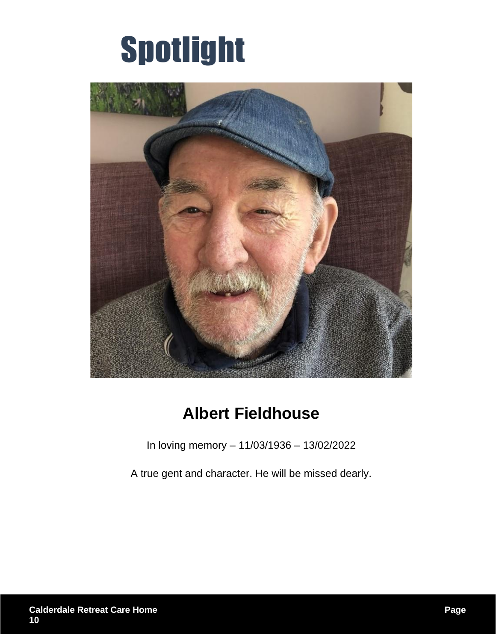### Spotlight



### **Albert Fieldhouse**

In loving memory – 11/03/1936 – 13/02/2022

A true gent and character. He will be missed dearly.